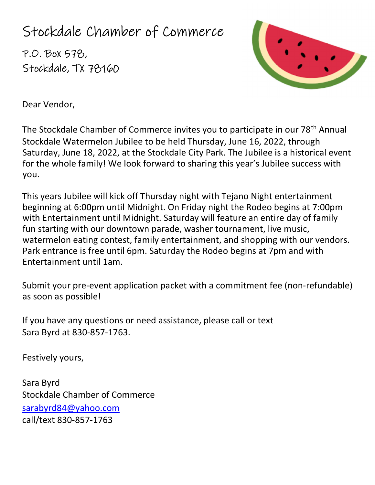# Stockdale Chamber of Commerce

P.O. Box 578, Stockdale, TX 78160



Dear Vendor,

The Stockdale Chamber of Commerce invites you to participate in our 78<sup>th</sup> Annual Stockdale Watermelon Jubilee to be held Thursday, June 16, 2022, through Saturday, June 18, 2022, at the Stockdale City Park. The Jubilee is a historical event for the whole family! We look forward to sharing this year's Jubilee success with you.

This years Jubilee will kick off Thursday night with Tejano Night entertainment beginning at 6:00pm until Midnight. On Friday night the Rodeo begins at 7:00pm with Entertainment until Midnight. Saturday will feature an entire day of family fun starting with our downtown parade, washer tournament, live music, watermelon eating contest, family entertainment, and shopping with our vendors. Park entrance is free until 6pm. Saturday the Rodeo begins at 7pm and with Entertainment until 1am.

Submit your pre-event application packet with a commitment fee (non-refundable) as soon as possible!

If you have any questions or need assistance, please call or text Sara Byrd at 830-857-1763.

Festively yours,

Sara Byrd Stockdale Chamber of Commerce sarabyrd84@yahoo.com call/text 830-857-1763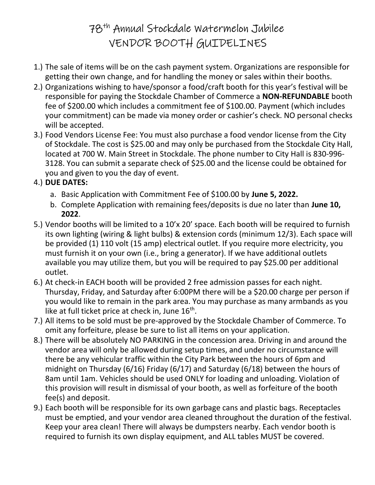# 78th Annual Stockdale Watermelon Jubilee VENDOR BOOTH GUIDELINES

- 1.) The sale of items will be on the cash payment system. Organizations are responsible for getting their own change, and for handling the money or sales within their booths.
- 2.) Organizations wishing to have/sponsor a food/craft booth for this year's festival will be responsible for paying the Stockdale Chamber of Commerce a NON-REFUNDABLE booth fee of \$200.00 which includes a commitment fee of \$100.00. Payment (which includes your commitment) can be made via money order or cashier's check. NO personal checks will be accepted.
- 3.) Food Vendors License Fee: You must also purchase a food vendor license from the City of Stockdale. The cost is \$25.00 and may only be purchased from the Stockdale City Hall, located at 700 W. Main Street in Stockdale. The phone number to City Hall is 830-996- 3128. You can submit a separate check of \$25.00 and the license could be obtained for you and given to you the day of event.
- 4.) DUE DATES:
	- a. Basic Application with Commitment Fee of \$100.00 by June 5, 2022.
	- b. Complete Application with remaining fees/deposits is due no later than June 10, 2022.
- 5.) Vendor booths will be limited to a 10'x 20' space. Each booth will be required to furnish its own lighting (wiring & light bulbs) & extension cords (minimum 12/3). Each space will be provided (1) 110 volt (15 amp) electrical outlet. If you require more electricity, you must furnish it on your own (i.e., bring a generator). If we have additional outlets available you may utilize them, but you will be required to pay \$25.00 per additional outlet.
- 6.) At check-in EACH booth will be provided 2 free admission passes for each night. Thursday, Friday, and Saturday after 6:00PM there will be a \$20.00 charge per person if you would like to remain in the park area. You may purchase as many armbands as you like at full ticket price at check in, June 16<sup>th</sup>.
- 7.) All items to be sold must be pre-approved by the Stockdale Chamber of Commerce. To omit any forfeiture, please be sure to list all items on your application.
- 8.) There will be absolutely NO PARKING in the concession area. Driving in and around the vendor area will only be allowed during setup times, and under no circumstance will there be any vehicular traffic within the City Park between the hours of 6pm and midnight on Thursday (6/16) Friday (6/17) and Saturday (6/18) between the hours of 8am until 1am. Vehicles should be used ONLY for loading and unloading. Violation of this provision will result in dismissal of your booth, as well as forfeiture of the booth fee(s) and deposit.
- 9.) Each booth will be responsible for its own garbage cans and plastic bags. Receptacles must be emptied, and your vendor area cleaned throughout the duration of the festival. Keep your area clean! There will always be dumpsters nearby. Each vendor booth is required to furnish its own display equipment, and ALL tables MUST be covered.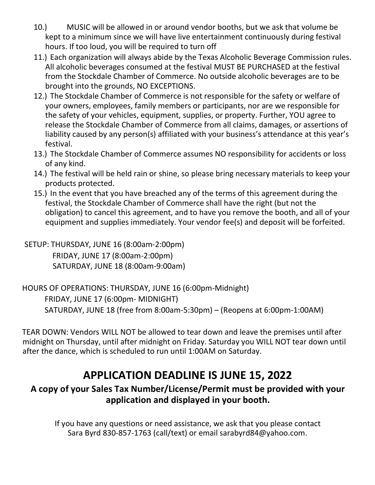- 10.) MUSIC will be allowed in or around vendor booths, but we ask that volume be kept to a minimum since we will have live entertainment continuously during festival hours. If too loud, you will be required to turn off
- 11.) Each organization will always abide by the Texas Alcoholic Beverage Commission rules. All alcoholic beverages consumed at the festival MUST BE PURCHASED at the festival from the Stockdale Chamber of Commerce. No outside alcoholic beverages are to be brought into the grounds, NO EXCEPTIONS.
- 12.) The Stockdale Chamber of Commerce is not responsible for the safety or welfare of your owners, employees, family members or participants, nor are we responsible for the safety of your vehicles, equipment, supplies, or property. Further, YOU agree to release the Stockdale Chamber of Commerce from all claims, damages, or assertions of liability caused by any person(s) affiliated with your business's attendance at this year's festival.
- 13.) The Stockdale Chamber of Commerce assumes NO responsibility for accidents or loss of any kind.
- 14.) The festival will be held rain or shine, so please bring necessary materials to keep your products protected.
- 15.) In the event that you have breached any of the terms of this agreement during the festival, the Stockdale Chamber of Commerce shall have the right (but not the obligation) to cancel this agreement, and to have you remove the booth, and all of your equipment and supplies immediately. Your vendor fee(s) and deposit will be forfeited.

 SETUP: THURSDAY, JUNE 16 (8:00am-2:00pm) FRIDAY, JUNE 17 (8:00am-2:00pm) SATURDAY, JUNE 18 (8:00am-9:00am)

#### HOURS OF OPERATIONS: THURSDAY, JUNE 16 (6:00pm-Midnight) FRIDAY, JUNE 17 (6:00pm- MIDNIGHT) SATURDAY, JUNE 18 (free from 8:00am-5:30pm) – (Reopens at 6:00pm-1:00AM)

TEAR DOWN: Vendors WILL NOT be allowed to tear down and leave the premises until after midnight on Thursday, until after midnight on Friday. Saturday you WILL NOT tear down until after the dance, which is scheduled to run until 1:00AM on Saturday.

### APPLICATION DEADLINE IS JUNE 15, 2022

### A copy of your Sales Tax Number/License/Permit must be provided with your application and displayed in your booth.

If you have any questions or need assistance, we ask that you please contact Sara Byrd 830-857-1763 (call/text) or email sarabyrd84@yahoo.com.